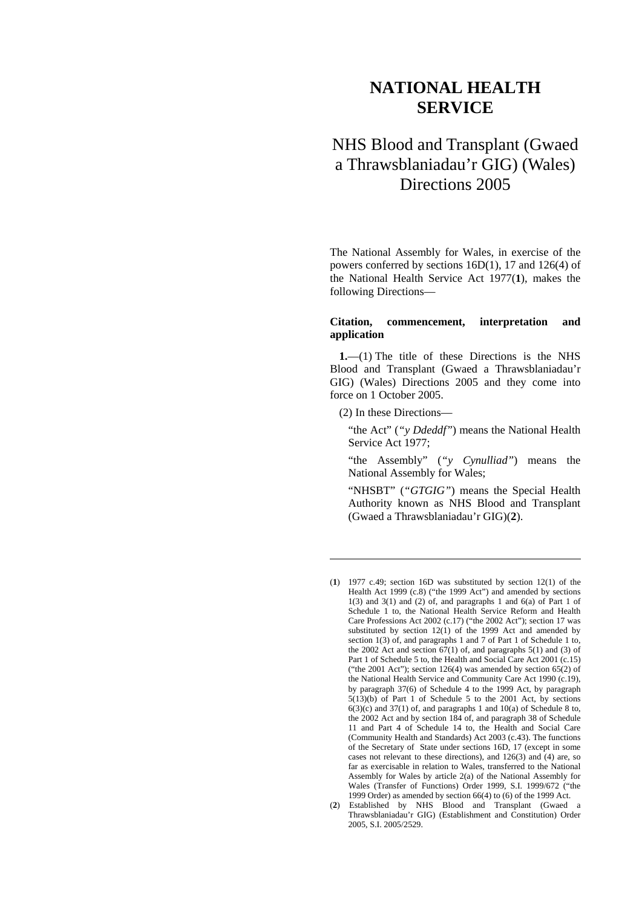# **NATIONAL HEALTH SERVICE**

# NHS Blood and Transplant (Gwaed a Thrawsblaniadau'r GIG) (Wales) Directions 2005

The National Assembly for Wales, in exercise of the powers conferred by sections 16D(1), 17 and 126(4) of the National Health Service Act 1977(**1**), makes the following Directions—

## **Citation, commencement, interpretation and application**

**1.**—(1) The title of these Directions is the NHS Blood and Transplant (Gwaed a Thrawsblaniadau'r GIG) (Wales) Directions 2005 and they come into force on 1 October 2005.

(2) In these Directions—

<u>.</u>

"the Act" (*"y Ddeddf"*) means the National Health Service Act 1977;

"the Assembly" (*"y Cynulliad"*) means the National Assembly for Wales;

"NHSBT" (*"GTGIG"*) means the Special Health Authority known as NHS Blood and Transplant (Gwaed a Thrawsblaniadau'r GIG)(**2**).

<sup>(</sup>**1**) 1977 c.49; section 16D was substituted by section 12(1) of the Health Act 1999 (c.8) ("the 1999 Act") and amended by sections  $1(3)$  and  $3(1)$  and  $(2)$  of, and paragraphs 1 and  $6(a)$  of Part 1 of Schedule 1 to, the National Health Service Reform and Health Care Professions Act 2002 (c.17) ("the 2002 Act"); section 17 was substituted by section 12(1) of the 1999 Act and amended by section 1(3) of, and paragraphs 1 and 7 of Part 1 of Schedule 1 to, the 2002 Act and section  $67(1)$  of, and paragraphs 5(1) and (3) of Part 1 of Schedule 5 to, the Health and Social Care Act 2001 (c.15) ("the 2001 Act"); section  $126(4)$  was amended by section  $65(2)$  of the National Health Service and Community Care Act 1990 (c.19), by paragraph 37(6) of Schedule 4 to the 1999 Act, by paragraph  $5(13)(b)$  of Part 1 of Schedule 5 to the 2001 Act, by sections  $6(3)(c)$  and  $37(1)$  of, and paragraphs 1 and  $10(a)$  of Schedule 8 to, the 2002 Act and by section 184 of, and paragraph 38 of Schedule 11 and Part 4 of Schedule 14 to, the Health and Social Care (Community Health and Standards) Act 2003 (c.43). The functions of the Secretary of State under sections 16D, 17 (except in some cases not relevant to these directions), and 126(3) and (4) are, so far as exercisable in relation to Wales, transferred to the National Assembly for Wales by article 2(a) of the National Assembly for Wales (Transfer of Functions) Order 1999, S.I. 1999/672 ("the 1999 Order) as amended by section 66(4) to (6) of the 1999 Act.

<sup>(</sup>**2**) Established by NHS Blood and Transplant (Gwaed a Thrawsblaniadau'r GIG) (Establishment and Constitution) Order 2005, S.I. 2005/2529.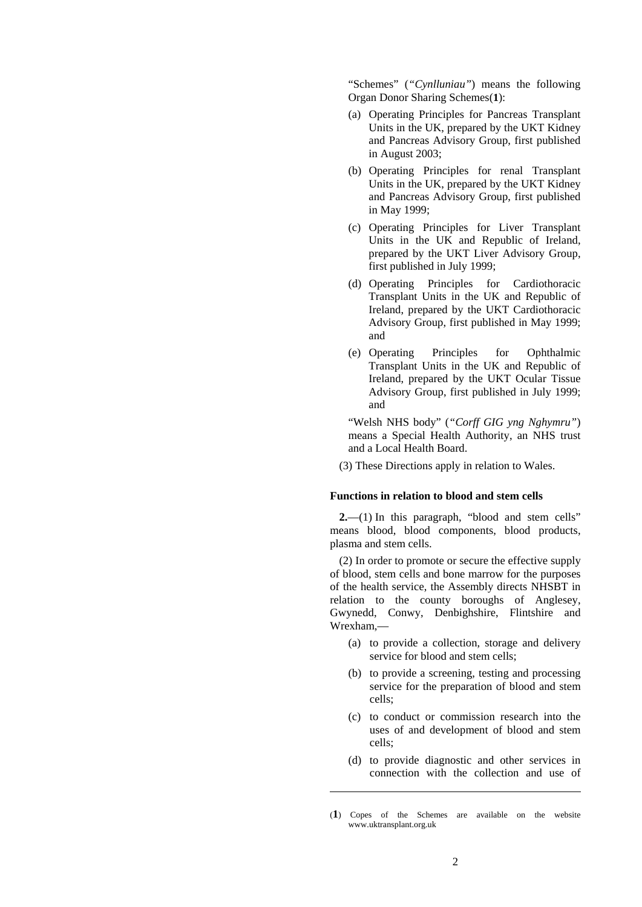"Schemes" (*"Cynlluniau"*) means the following Organ Donor Sharing Schemes(**1**):

- (a) Operating Principles for Pancreas Transplant Units in the UK, prepared by the UKT Kidney and Pancreas Advisory Group, first published in August 2003;
- (b) Operating Principles for renal Transplant Units in the UK, prepared by the UKT Kidney and Pancreas Advisory Group, first published in May 1999;
- (c) Operating Principles for Liver Transplant Units in the UK and Republic of Ireland, prepared by the UKT Liver Advisory Group, first published in July 1999;
- (d) Operating Principles for Cardiothoracic Transplant Units in the UK and Republic of Ireland, prepared by the UKT Cardiothoracic Advisory Group, first published in May 1999; and
- (e) Operating Principles for Ophthalmic Transplant Units in the UK and Republic of Ireland, prepared by the UKT Ocular Tissue Advisory Group, first published in July 1999; and

"Welsh NHS body" (*"Corff GIG yng Nghymru"*) means a Special Health Authority, an NHS trust and a Local Health Board.

(3) These Directions apply in relation to Wales.

## **Functions in relation to blood and stem cells**

**2.**—(1) In this paragraph, "blood and stem cells" means blood, blood components, blood products, plasma and stem cells.

(2) In order to promote or secure the effective supply of blood, stem cells and bone marrow for the purposes of the health service, the Assembly directs NHSBT in relation to the county boroughs of Anglesey, Gwynedd, Conwy, Denbighshire, Flintshire and Wrexham,—

- (a) to provide a collection, storage and delivery service for blood and stem cells;
- (b) to provide a screening, testing and processing service for the preparation of blood and stem cells;
- (c) to conduct or commission research into the uses of and development of blood and stem cells;
- (d) to provide diagnostic and other services in connection with the collection and use of

<u>.</u>

<sup>(</sup>**1**) Copes of the Schemes are available on the website www.uktransplant.org.uk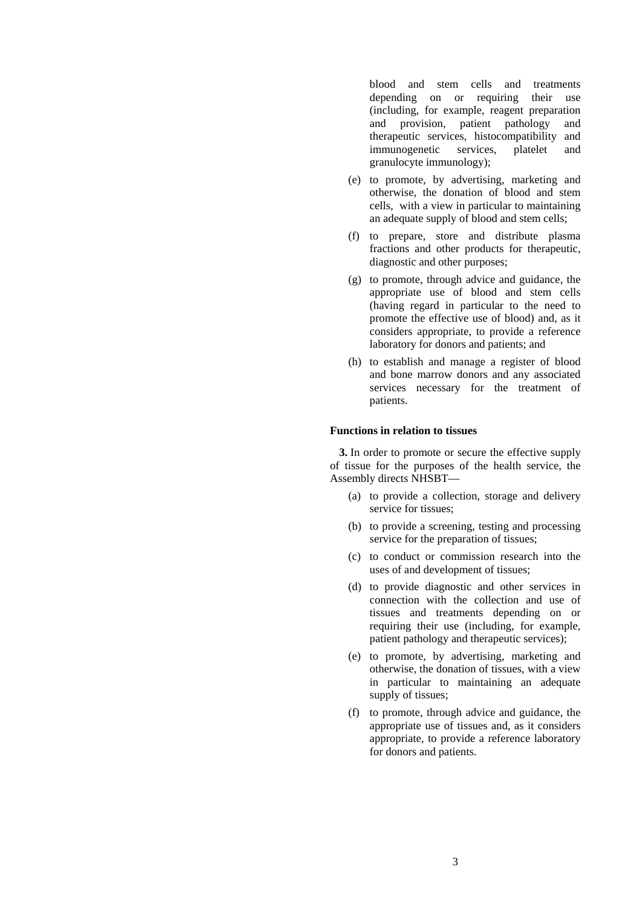blood and stem cells and treatments depending on or requiring their use (including, for example, reagent preparation and provision, patient pathology and therapeutic services, histocompatibility and immunogenetic services, platelet and granulocyte immunology);

- (e) to promote, by advertising, marketing and otherwise, the donation of blood and stem cells, with a view in particular to maintaining an adequate supply of blood and stem cells;
- (f) to prepare, store and distribute plasma fractions and other products for therapeutic, diagnostic and other purposes;
- (g) to promote, through advice and guidance, the appropriate use of blood and stem cells (having regard in particular to the need to promote the effective use of blood) and, as it considers appropriate, to provide a reference laboratory for donors and patients; and
- (h) to establish and manage a register of blood and bone marrow donors and any associated services necessary for the treatment of patients.

## **Functions in relation to tissues**

**3.** In order to promote or secure the effective supply of tissue for the purposes of the health service, the Assembly directs NHSBT—

- (a) to provide a collection, storage and delivery service for tissues;
- (b) to provide a screening, testing and processing service for the preparation of tissues;
- (c) to conduct or commission research into the uses of and development of tissues;
- (d) to provide diagnostic and other services in connection with the collection and use of tissues and treatments depending on or requiring their use (including, for example, patient pathology and therapeutic services);
- (e) to promote, by advertising, marketing and otherwise, the donation of tissues, with a view in particular to maintaining an adequate supply of tissues:
- (f) to promote, through advice and guidance, the appropriate use of tissues and, as it considers appropriate, to provide a reference laboratory for donors and patients.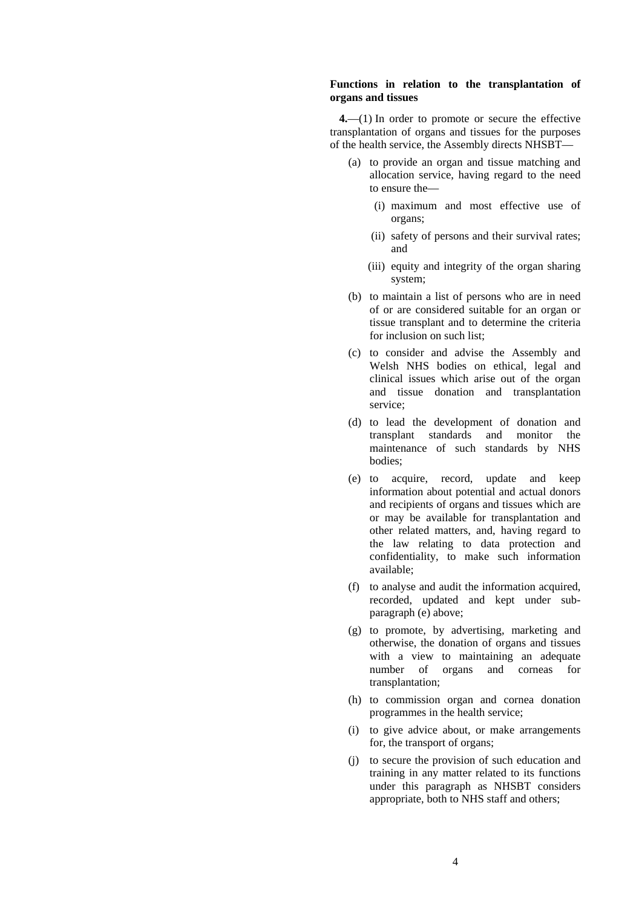## **Functions in relation to the transplantation of organs and tissues**

**4.**—(1) In order to promote or secure the effective transplantation of organs and tissues for the purposes of the health service, the Assembly directs NHSBT—

- (a) to provide an organ and tissue matching and allocation service, having regard to the need to ensure the—
	- (i) maximum and most effective use of organs;
	- (ii) safety of persons and their survival rates; and
	- (iii) equity and integrity of the organ sharing system;
- (b) to maintain a list of persons who are in need of or are considered suitable for an organ or tissue transplant and to determine the criteria for inclusion on such list;
- (c) to consider and advise the Assembly and Welsh NHS bodies on ethical, legal and clinical issues which arise out of the organ and tissue donation and transplantation service;
- (d) to lead the development of donation and transplant standards and monitor the maintenance of such standards by NHS bodies;
- (e) to acquire, record, update and keep information about potential and actual donors and recipients of organs and tissues which are or may be available for transplantation and other related matters, and, having regard to the law relating to data protection and confidentiality, to make such information available;
- (f) to analyse and audit the information acquired, recorded, updated and kept under subparagraph (e) above;
- (g) to promote, by advertising, marketing and otherwise, the donation of organs and tissues with a view to maintaining an adequate number of organs and corneas for transplantation;
- (h) to commission organ and cornea donation programmes in the health service;
- (i) to give advice about, or make arrangements for, the transport of organs;
- (j) to secure the provision of such education and training in any matter related to its functions under this paragraph as NHSBT considers appropriate, both to NHS staff and others;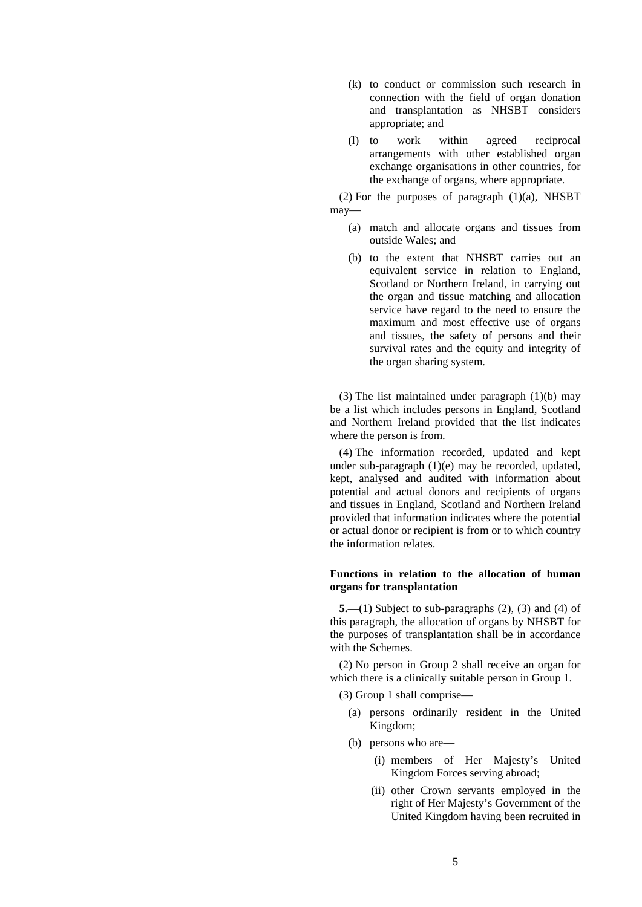- (k) to conduct or commission such research in connection with the field of organ donation and transplantation as NHSBT considers appropriate; and
- (l) to work within agreed reciprocal arrangements with other established organ exchange organisations in other countries, for the exchange of organs, where appropriate.

 $(2)$  For the purposes of paragraph  $(1)(a)$ , NHSBT may—

- (a) match and allocate organs and tissues from outside Wales; and
- (b) to the extent that NHSBT carries out an equivalent service in relation to England, Scotland or Northern Ireland, in carrying out the organ and tissue matching and allocation service have regard to the need to ensure the maximum and most effective use of organs and tissues, the safety of persons and their survival rates and the equity and integrity of the organ sharing system.

(3) The list maintained under paragraph (1)(b) may be a list which includes persons in England, Scotland and Northern Ireland provided that the list indicates where the person is from.

(4) The information recorded, updated and kept under sub-paragraph (1)(e) may be recorded, updated, kept, analysed and audited with information about potential and actual donors and recipients of organs and tissues in England, Scotland and Northern Ireland provided that information indicates where the potential or actual donor or recipient is from or to which country the information relates.

# **Functions in relation to the allocation of human organs for transplantation**

**5.**—(1) Subject to sub-paragraphs (2), (3) and (4) of this paragraph, the allocation of organs by NHSBT for the purposes of transplantation shall be in accordance with the Schemes.

(2) No person in Group 2 shall receive an organ for which there is a clinically suitable person in Group 1.

- (3) Group 1 shall comprise—
	- (a) persons ordinarily resident in the United Kingdom;
	- (b) persons who are—
		- (i) members of Her Majesty's United Kingdom Forces serving abroad;
		- (ii) other Crown servants employed in the right of Her Majesty's Government of the United Kingdom having been recruited in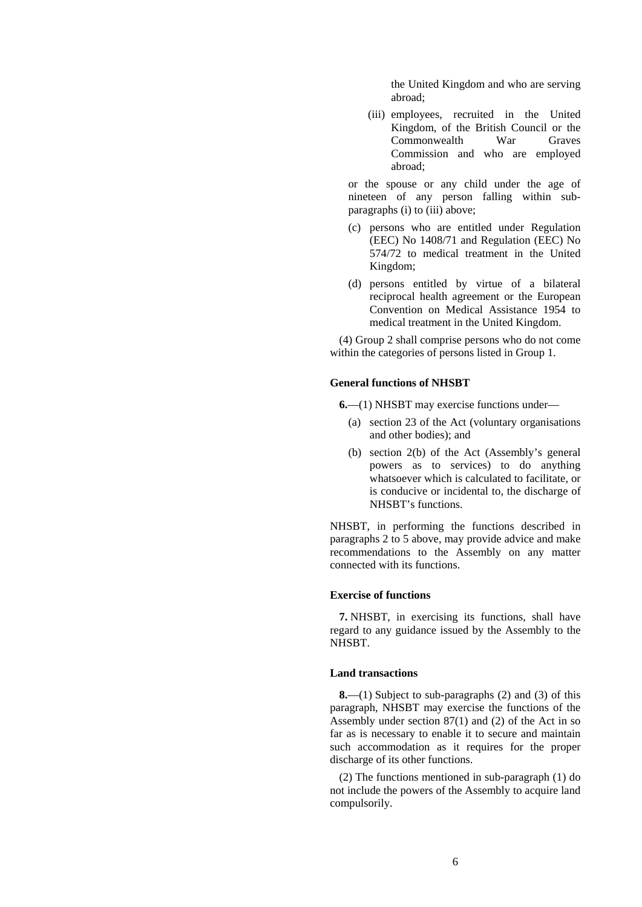the United Kingdom and who are serving abroad;

(iii) employees, recruited in the United Kingdom, of the British Council or the Commonwealth War Graves Commission and who are employed abroad;

or the spouse or any child under the age of nineteen of any person falling within subparagraphs (i) to (iii) above;

- (c) persons who are entitled under Regulation (EEC) No 1408/71 and Regulation (EEC) No 574/72 to medical treatment in the United Kingdom;
- (d) persons entitled by virtue of a bilateral reciprocal health agreement or the European Convention on Medical Assistance 1954 to medical treatment in the United Kingdom.

(4) Group 2 shall comprise persons who do not come within the categories of persons listed in Group 1.

# **General functions of NHSBT**

**6.**—(1) NHSBT may exercise functions under—

- (a) section 23 of the Act (voluntary organisations and other bodies); and
- (b) section 2(b) of the Act (Assembly's general powers as to services) to do anything whatsoever which is calculated to facilitate, or is conducive or incidental to, the discharge of NHSBT's functions.

NHSBT, in performing the functions described in paragraphs 2 to 5 above, may provide advice and make recommendations to the Assembly on any matter connected with its functions.

#### **Exercise of functions**

**7.** NHSBT, in exercising its functions, shall have regard to any guidance issued by the Assembly to the NHSBT.

## **Land transactions**

**8.**—(1) Subject to sub-paragraphs (2) and (3) of this paragraph, NHSBT may exercise the functions of the Assembly under section 87(1) and (2) of the Act in so far as is necessary to enable it to secure and maintain such accommodation as it requires for the proper discharge of its other functions.

(2) The functions mentioned in sub-paragraph (1) do not include the powers of the Assembly to acquire land compulsorily.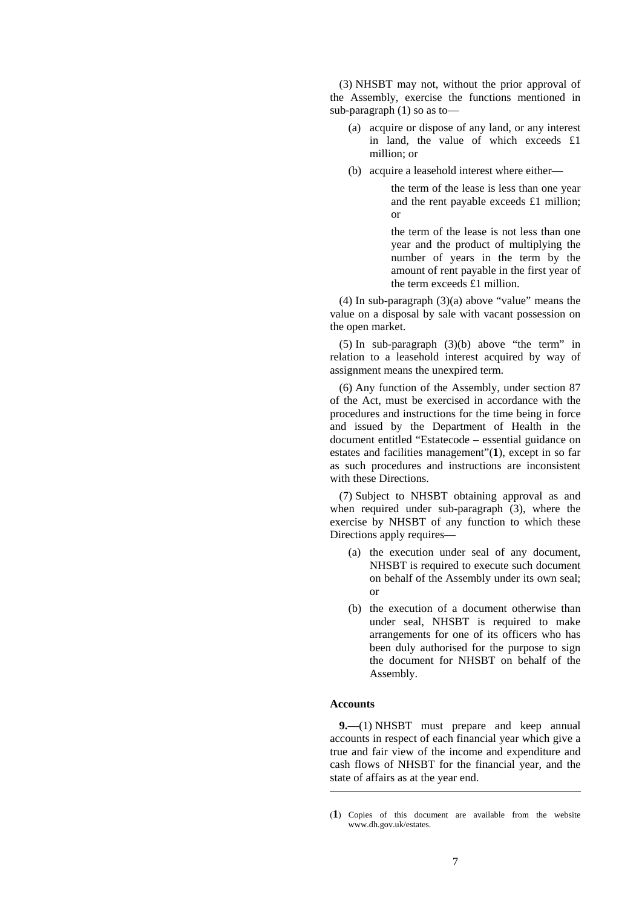(3) NHSBT may not, without the prior approval of the Assembly, exercise the functions mentioned in sub-paragraph (1) so as to—

- (a) acquire or dispose of any land, or any interest in land, the value of which exceeds £1 million; or
- (b) acquire a leasehold interest where either—

the term of the lease is less than one year and the rent payable exceeds £1 million; or

the term of the lease is not less than one year and the product of multiplying the number of years in the term by the amount of rent payable in the first year of the term exceeds £1 million.

(4) In sub-paragraph (3)(a) above "value" means the value on a disposal by sale with vacant possession on the open market.

(5) In sub-paragraph (3)(b) above "the term" in relation to a leasehold interest acquired by way of assignment means the unexpired term.

(6) Any function of the Assembly, under section 87 of the Act, must be exercised in accordance with the procedures and instructions for the time being in force and issued by the Department of Health in the document entitled "Estatecode – essential guidance on estates and facilities management"(**1**), except in so far as such procedures and instructions are inconsistent with these Directions.

(7) Subject to NHSBT obtaining approval as and when required under sub-paragraph (3), where the exercise by NHSBT of any function to which these Directions apply requires—

- (a) the execution under seal of any document, NHSBT is required to execute such document on behalf of the Assembly under its own seal; or
- (b) the execution of a document otherwise than under seal, NHSBT is required to make arrangements for one of its officers who has been duly authorised for the purpose to sign the document for NHSBT on behalf of the Assembly.

## **Accounts**

<u>.</u>

**9.**—(1) NHSBT must prepare and keep annual accounts in respect of each financial year which give a true and fair view of the income and expenditure and cash flows of NHSBT for the financial year, and the state of affairs as at the year end.

<sup>(</sup>**1**) Copies of this document are available from the website www.dh.gov.uk/estates.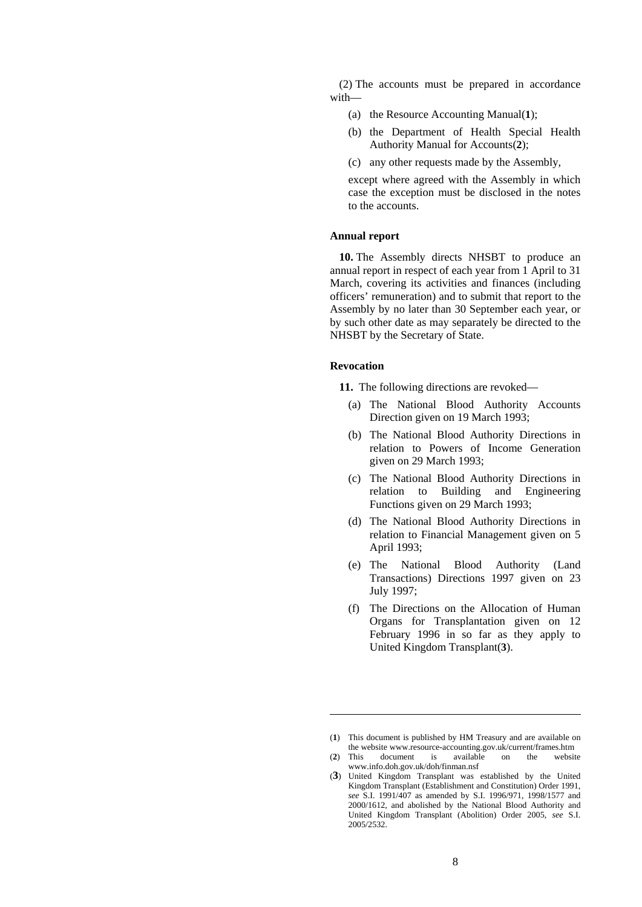(2) The accounts must be prepared in accordance with—

- (a) the Resource Accounting Manual(**1**);
- (b) the Department of Health Special Health Authority Manual for Accounts(**2**);
- (c) any other requests made by the Assembly,

except where agreed with the Assembly in which case the exception must be disclosed in the notes to the accounts.

## **Annual report**

**10.** The Assembly directs NHSBT to produce an annual report in respect of each year from 1 April to 31 March, covering its activities and finances (including officers' remuneration) and to submit that report to the Assembly by no later than 30 September each year, or by such other date as may separately be directed to the NHSBT by the Secretary of State.

#### **Revocation**

<u>.</u>

**11.** The following directions are revoked—

- (a) The National Blood Authority Accounts Direction given on 19 March 1993;
- (b) The National Blood Authority Directions in relation to Powers of Income Generation given on 29 March 1993;
- (c) The National Blood Authority Directions in relation to Building and Engineering Functions given on 29 March 1993;
- (d) The National Blood Authority Directions in relation to Financial Management given on 5 April 1993;
- (e) The National Blood Authority (Land Transactions) Directions 1997 given on 23 July 1997;
- (f) The Directions on the Allocation of Human Organs for Transplantation given on 12 February 1996 in so far as they apply to United Kingdom Transplant(**3**).

<sup>(</sup>**1**) This document is published by HM Treasury and are available on the website www.resource-accounting.gov.uk/current/frames.htm

<sup>(</sup>**2**) This document is available on the website www.info.doh.gov.uk/doh/finman.nsf

<sup>(</sup>**3**) United Kingdom Transplant was established by the United Kingdom Transplant (Establishment and Constitution) Order 1991, *see* S.I. 1991/407 as amended by S.I. 1996/971, 1998/1577 and 2000/1612, and abolished by the National Blood Authority and United Kingdom Transplant (Abolition) Order 2005, *see* S.I. 2005/2532.